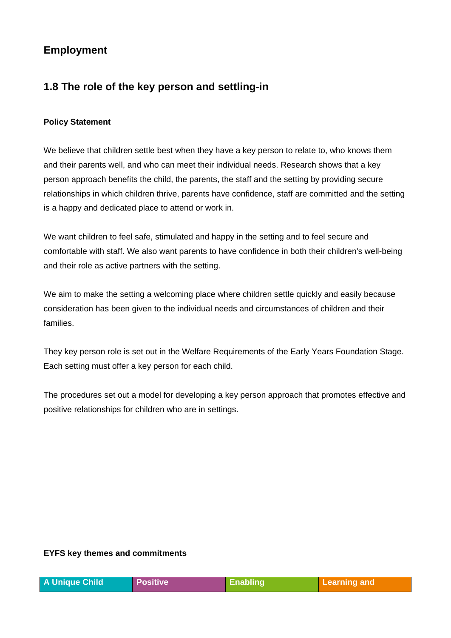# **Employment**

## **1.8 The role of the key person and settling-in**

#### **Policy Statement**

We believe that children settle best when they have a key person to relate to, who knows them and their parents well, and who can meet their individual needs. Research shows that a key person approach benefits the child, the parents, the staff and the setting by providing secure relationships in which children thrive, parents have confidence, staff are committed and the setting is a happy and dedicated place to attend or work in.

We want children to feel safe, stimulated and happy in the setting and to feel secure and comfortable with staff. We also want parents to have confidence in both their children's well-being and their role as active partners with the setting.

We aim to make the setting a welcoming place where children settle quickly and easily because consideration has been given to the individual needs and circumstances of children and their families.

They key person role is set out in the Welfare Requirements of the Early Years Foundation Stage. Each setting must offer a key person for each child.

The procedures set out a model for developing a key person approach that promotes effective and positive relationships for children who are in settings.

#### **EYFS key themes and commitments**

| A Unique Child | <b>Positive</b> | Enabling | / Learning and |
|----------------|-----------------|----------|----------------|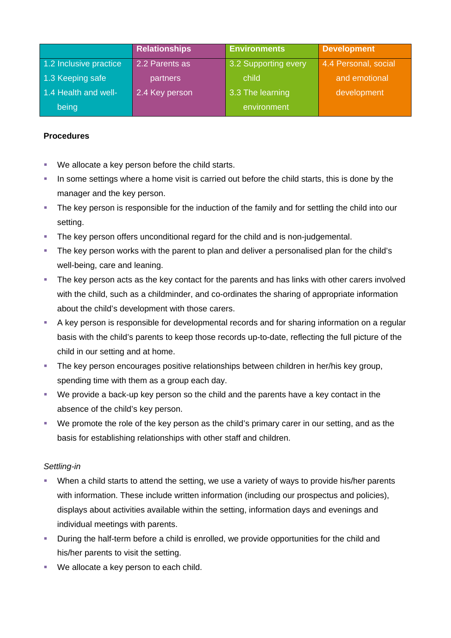|                        | <b>Relationships</b> | <b>Environments</b>  | <b>Development</b>   |
|------------------------|----------------------|----------------------|----------------------|
| 1.2 Inclusive practice | 2.2 Parents as       | 3.2 Supporting every | 4.4 Personal, social |
| 1.3 Keeping safe       | partners             | child                | and emotional        |
| 1.4 Health and well-   | 2.4 Key person       | 3.3 The learning     | development          |
| being                  |                      | environment          |                      |

#### **Procedures**

- We allocate a key person before the child starts.
- In some settings where a home visit is carried out before the child starts, this is done by the manager and the key person.
- The key person is responsible for the induction of the family and for settling the child into our setting.
- The key person offers unconditional regard for the child and is non-judgemental.
- The key person works with the parent to plan and deliver a personalised plan for the child's well-being, care and leaning.
- The key person acts as the key contact for the parents and has links with other carers involved with the child, such as a childminder, and co-ordinates the sharing of appropriate information about the child's development with those carers.
- A key person is responsible for developmental records and for sharing information on a regular basis with the child's parents to keep those records up-to-date, reflecting the full picture of the child in our setting and at home.
- The key person encourages positive relationships between children in her/his key group, spending time with them as a group each day.
- We provide a back-up key person so the child and the parents have a key contact in the absence of the child's key person.
- We promote the role of the key person as the child's primary carer in our setting, and as the basis for establishing relationships with other staff and children.

### *Settling-in*

- When a child starts to attend the setting, we use a variety of ways to provide his/her parents with information. These include written information (including our prospectus and policies), displays about activities available within the setting, information days and evenings and individual meetings with parents.
- **•** During the half-term before a child is enrolled, we provide opportunities for the child and his/her parents to visit the setting.
- **We allocate a key person to each child.**